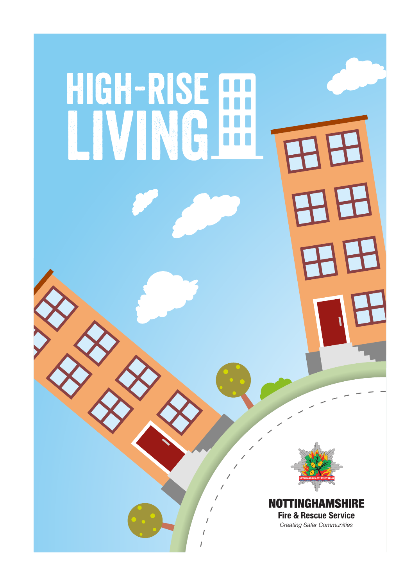# HIGH-RISE [ LVNG



2

**NOTTINGHAMSHIRE Fire & Rescue Service Creating Safer Communities**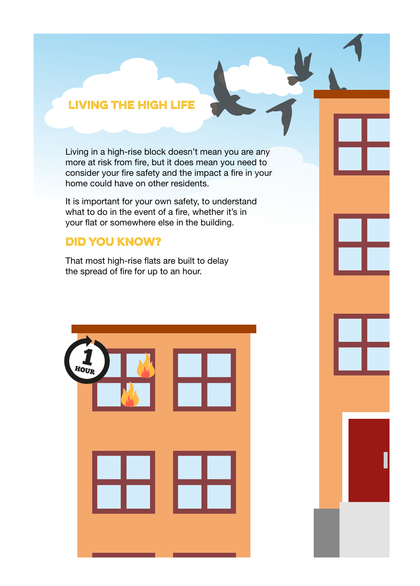## Living the high life

Living in a high-rise block doesn't mean you are any more at risk from fire, but it does mean you need to consider your fire safety and the impact a fire in your home could have on other residents.

It is important for your own safety, to understand what to do in the event of a fire, whether it's in your flat or somewhere else in the building.

## Did you know?

That most high-rise flats are built to delay the spread of fire for up to an hour.



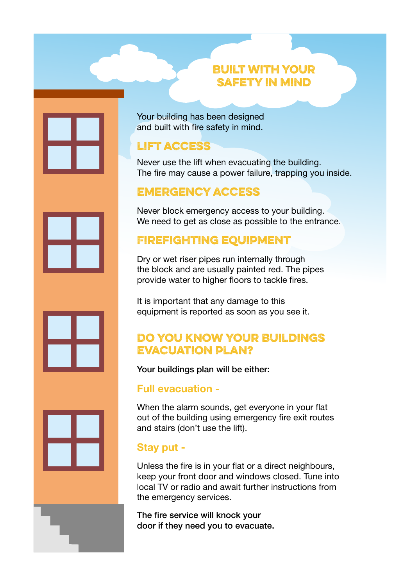#### Built with your safety in mind

Your building has been designed and built with fire safety in mind.

## lift access

Never use the lift when evacuating the building. The fire may cause a power failure, trapping you inside.

## emergency access

Never block emergency access to your building. We need to get as close as possible to the entrance.

## Firefighting equipment

Dry or wet riser pipes run internally through the block and are usually painted red. The pipes provide water to higher floors to tackle fires.

It is important that any damage to this equipment is reported as soon as you see it.

## Do you know your buildings evacuation plan?

Your buildings plan will be either:

#### Full evacuation -

When the alarm sounds, get everyone in your flat out of the building using emergency fire exit routes and stairs (don't use the lift).

## Stay put -

Unless the fire is in your flat or a direct neighbours, keep your front door and windows closed. Tune into local TV or radio and await further instructions from the emergency services.

The fire service will knock your door if they need you to evacuate.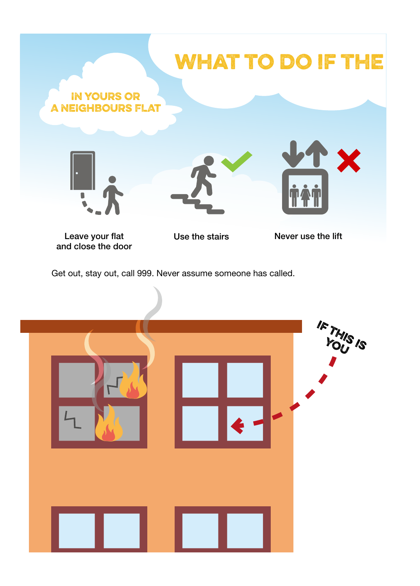

Leave your flat and close the door Use the stairs

Never use the lift

Get out, stay out, call 999. Never assume someone has called.

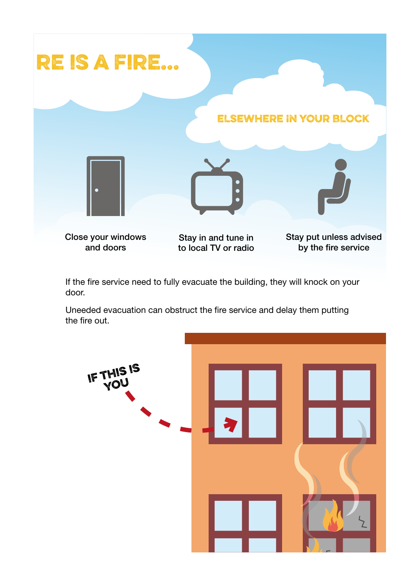

If the fire service need to fully evacuate the building, they will knock on your door.

Uneeded evacuation can obstruct the fire service and delay them putting

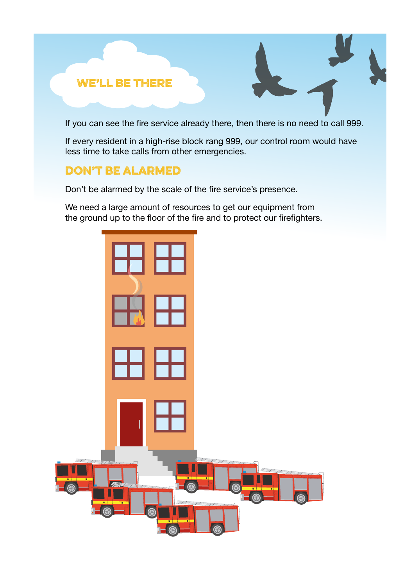#### We'll be there

If you can see the fire service already there, then there is no need to call 999.

If every resident in a high-rise block rang 999, our control room would have less time to take calls from other emergencies.

#### don't be alarmed

Don't be alarmed by the scale of the fire service's presence.

We need a large amount of resources to get our equipment from the ground up to the floor of the fire and to protect our firefighters.

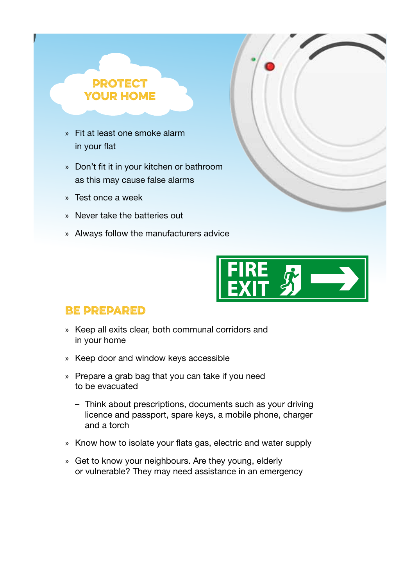#### **PROTECT** YOUR HOME

- » Fit at least one smoke alarm in your flat
- » Don't fit it in your kitchen or bathroom as this may cause false alarms
- » Test once a week
- » Never take the batteries out
- » Always follow the manufacturers advice



## Be prepared

- » Keep all exits clear, both communal corridors and in your home
- » Keep door and window keys accessible
- » Prepare a grab bag that you can take if you need to be evacuated
	- Think about prescriptions, documents such as your driving licence and passport, spare keys, a mobile phone, charger and a torch
- » Know how to isolate your flats gas, electric and water supply
- » Get to know your neighbours. Are they young, elderly or vulnerable? They may need assistance in an emergency